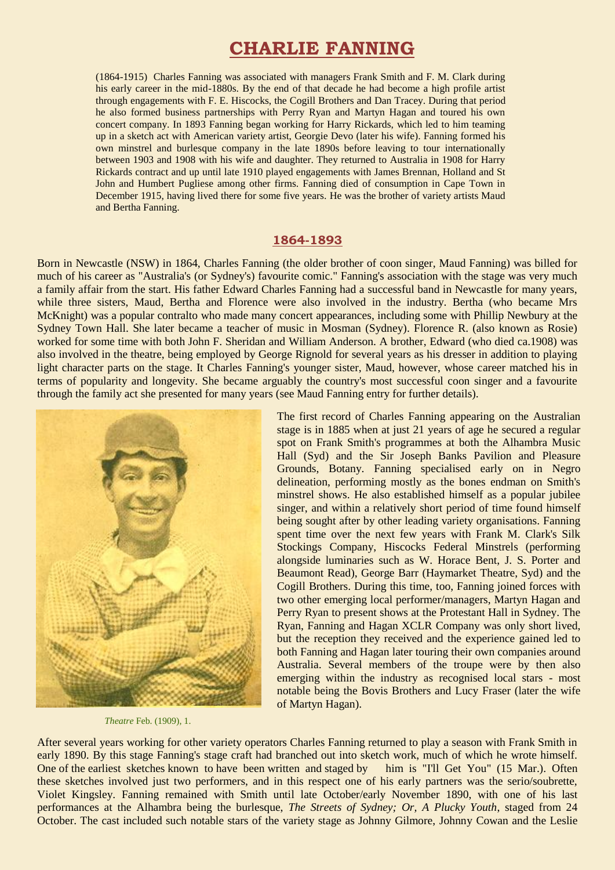# **CHARLIE FANNING**

(1864-1915) Charles Fanning was associated with managers Frank Smith and F. M. Clark during his early career in the mid-1880s. By the end of that decade he had become a high profile artist through engagements with F. E. Hiscocks, the Cogill Brothers and Dan Tracey. During that period he also formed business partnerships with Perry Ryan and Martyn Hagan and toured his own concert company. In 1893 Fanning began working for Harry Rickards, which led to him teaming up in a sketch act with American variety artist, Georgie Devo (later his wife). Fanning formed his own minstrel and burlesque company in the late 1890s before leaving to tour internationally between 1903 and 1908 with his wife and daughter. They returned to Australia in 1908 for Harry Rickards contract and up until late 1910 played engagements with James Brennan, Holland and St John and Humbert Pugliese among other firms. Fanning died of consumption in Cape Town in December 1915, having lived there for some five years. He was the brother of variety artists Maud and Bertha Fanning.

## **1864-1893**

Born in Newcastle (NSW) in 1864, Charles Fanning (the older brother of coon singer, Maud Fanning) was billed for much of his career as "Australia's (or Sydney's) favourite comic." Fanning's association with the stage was very much a family affair from the start. His father Edward Charles Fanning had a successful band in Newcastle for many years, while three sisters, Maud, Bertha and Florence were also involved in the industry. Bertha (who became Mrs McKnight) was a popular contralto who made many concert appearances, including some with Phillip Newbury at the Sydney Town Hall. She later became a teacher of music in Mosman (Sydney). Florence R. (also known as Rosie) worked for some time with both John F. Sheridan and William Anderson. A brother, Edward (who died ca.1908) was also involved in the theatre, being employed by George Rignold for several years as his dresser in addition to playing light character parts on the stage. It Charles Fanning's younger sister, Maud, however, whose career matched his in terms of popularity and longevity. She became arguably the country's most successful coon singer and a favourite through the family act she presented for many years (see Maud Fanning entry for further details).



*Theatre* Feb. (1909), 1.

The first record of Charles Fanning appearing on the Australian stage is in 1885 when at just 21 years of age he secured a regular spot on Frank Smith's programmes at both the Alhambra Music Hall (Syd) and the Sir Joseph Banks Pavilion and Pleasure Grounds, Botany. Fanning specialised early on in Negro delineation, performing mostly as the bones endman on Smith's minstrel shows. He also established himself as a popular jubilee singer, and within a relatively short period of time found himself being sought after by other leading variety organisations. Fanning spent time over the next few years with Frank M. Clark's Silk Stockings Company, Hiscocks Federal Minstrels (performing alongside luminaries such as W. Horace Bent, J. S. Porter and Beaumont Read), George Barr (Haymarket Theatre, Syd) and the Cogill Brothers. During this time, too, Fanning joined forces with two other emerging local performer/managers, Martyn Hagan and Perry Ryan to present shows at the Protestant Hall in Sydney. The Ryan, Fanning and Hagan XCLR Company was only short lived, but the reception they received and the experience gained led to both Fanning and Hagan later touring their own companies around Australia. Several members of the troupe were by then also emerging within the industry as recognised local stars - most notable being the Bovis Brothers and Lucy Fraser (later the wife of Martyn Hagan).

After several years working for other variety operators Charles Fanning returned to play a season with Frank Smith in early 1890. By this stage Fanning's stage craft had branched out into sketch work, much of which he wrote himself. One of the earliest sketches known to have been written and staged by him is "I'll Get You" (15 Mar.). Often these sketches involved just two performers, and in this respect one of his early partners was the serio/soubrette, Violet Kingsley. Fanning remained with Smith until late October/early November 1890, with one of his last performances at the Alhambra being the burlesque, *The Streets of Sydney; Or, A Plucky Youth*, staged from 24 October. The cast included such notable stars of the variety stage as Johnny Gilmore, Johnny Cowan and the Leslie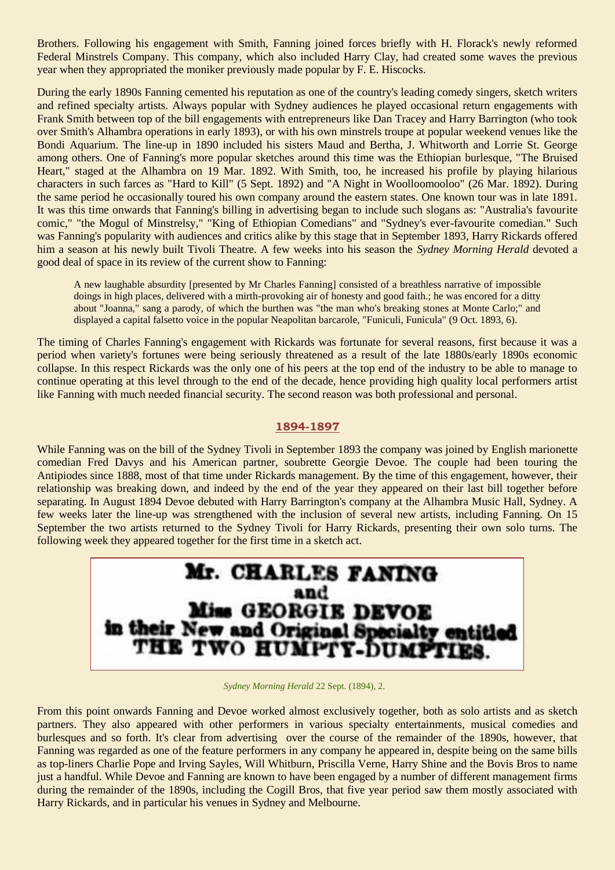Brothers. Following his engagement with Smith, Fanning joined forces briefly with H. Florack's newly reformed Federal Minstrels Company. This company, which also included Harry Clay, had created some waves the previous year when they appropriated the moniker previously made popular by F. E. Hiscocks.

During the early 1890s Fanning cemented his reputation as one of the country's leading comedy singers, sketch writers and refined specialty artists. Always popular with Sydney audiences he played occasional return engagements with Frank Smith between top of the bill engagements with entrepreneurs like Dan Tracey and Harry Barrington (who took over Smith's Alhambra operations in early 1893), or with his own minstrels troupe at popular weekend venues like the Bondi Aquarium. The line-up in 1890 included his sisters Maud and Bertha, J. Whitworth and Lorrie St. George among others. One of Fanning's more popular sketches around this time was the Ethiopian burlesque, "The Bruised Heart," staged at the Alhambra on 19 Mar. 1892. With Smith, too, he increased his profile by playing hilarious characters in such farces as "Hard to Kill" (5 Sept. 1892) and "A Night in Woolloomooloo" (26 Mar. 1892). During the same period he occasionally toured his own company around the eastern states. One known tour was in late 1891. It was this time onwards that Fanning's billing in advertising began to include such slogans as: "Australia's favourite comic," "the Mogul of Minstrelsy," "King of Ethiopian Comedians" and "Sydney's ever-favourite comedian." Such was Fanning's popularity with audiences and critics alike by this stage that in September 1893, Harry Rickards offered him a season at his newly built Tivoli Theatre. A few weeks into his season the *Sydney Morning Herald* devoted a good deal of space in its review of the current show to Fanning:

A new laughable absurdity [presented by Mr Charles Fanning] consisted of a breathless narrative of impossible doings in high places, delivered with a mirth-provoking air of honesty and good faith.; he was encored for a ditty about "Joanna," sang a parody, of which the burthen was "the man who's breaking stones at Monte Carlo;" and displayed a capital falsetto voice in the popular Neapolitan barcarole, "Funiculi, Funicula" (9 Oct. 1893, 6).

The timing of Charles Fanning's engagement with Rickards was fortunate for several reasons, first because it was a period when variety's fortunes were being seriously threatened as a result of the late 1880s/early 1890s economic collapse. In this respect Rickards was the only one of his peers at the top end of the industry to be able to manage to continue operating at this level through to the end of the decade, hence providing high quality local performers artist like Fanning with much needed financial security. The second reason was both professional and personal.

## **1894-1897**

While Fanning was on the bill of the Sydney Tivoli in September 1893 the company was joined by English marionette comedian Fred Davys and his American partner, soubrette Georgie Devoe. The couple had been touring the Antipiodes since 1888, most of that time under Rickards management. By the time of this engagement, however, their relationship was breaking down, and indeed by the end of the year they appeared on their last bill together before separating. In August 1894 Devoe debuted with Harry Barrington's company at the Alhambra Music Hall, Sydney. A few weeks later the line-up was strengthened with the inclusion of several new artists, including Fanning. On 15 September the two artists returned to the Sydney Tivoli for Harry Rickards, presenting their own solo turns. The following week they appeared together for the first time in a sketch act.



*Sydney Morning Herald* 22 Sept. (1894), 2.

From this point onwards Fanning and Devoe worked almost exclusively together, both as solo artists and as sketch partners. They also appeared with other performers in various specialty entertainments, musical comedies and burlesques and so forth. It's clear from advertising over the course of the remainder of the 1890s, however, that Fanning was regarded as one of the feature performers in any company he appeared in, despite being on the same bills as top-liners Charlie Pope and Irving Sayles, Will Whitburn, Priscilla Verne, Harry Shine and the Bovis Bros to name just a handful. While Devoe and Fanning are known to have been engaged by a number of different management firms during the remainder of the 1890s, including the Cogill Bros, that five year period saw them mostly associated with Harry Rickards, and in particular his venues in Sydney and Melbourne.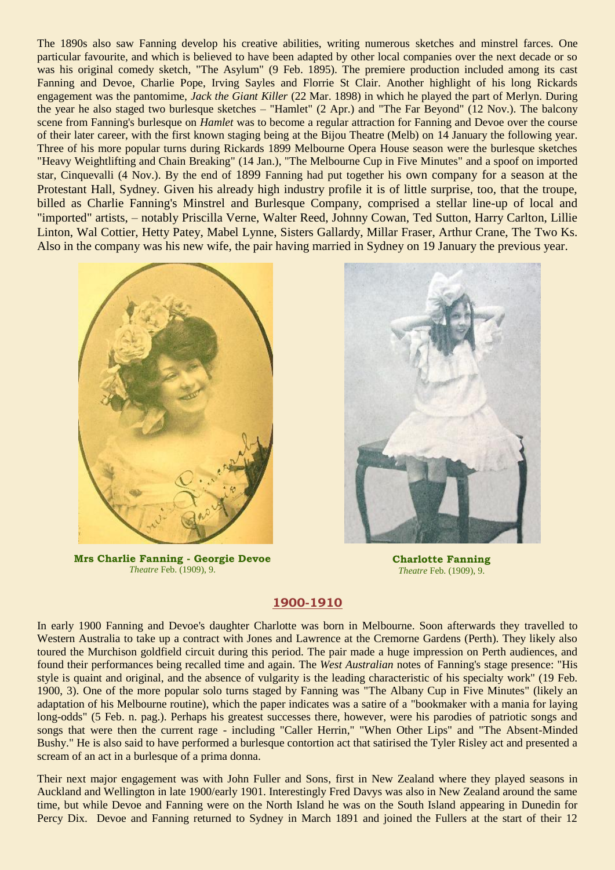The 1890s also saw Fanning develop his creative abilities, writing numerous sketches and minstrel farces. One particular favourite, and which is believed to have been adapted by other local companies over the next decade or so was his original comedy sketch, "The Asylum" (9 Feb. 1895). The premiere production included among its cast Fanning and Devoe, Charlie Pope, Irving Sayles and Florrie St Clair. Another highlight of his long Rickards engagement was the pantomime, *Jack the Giant Killer* (22 Mar. 1898) in which he played the part of Merlyn. During the year he also staged two burlesque sketches – "Hamlet" (2 Apr.) and "The Far Beyond" (12 Nov.). The balcony scene from Fanning's burlesque on *Hamlet* was to become a regular attraction for Fanning and Devoe over the course of their later career, with the first known staging being at the Bijou Theatre (Melb) on 14 January the following year. Three of his more popular turns during Rickards 1899 Melbourne Opera House season were the burlesque sketches "Heavy Weightlifting and Chain Breaking" (14 Jan.), "The Melbourne Cup in Five Minutes" and a spoof on imported star, Cinquevalli (4 Nov.). By the end of 1899 Fanning had put together his own company for a season at the Protestant Hall, Sydney. Given his already high industry profile it is of little surprise, too, that the troupe, billed as Charlie Fanning's Minstrel and Burlesque Company, comprised a stellar line-up of local and "imported" artists, – notably Priscilla Verne, Walter Reed, Johnny Cowan, Ted Sutton, Harry Carlton, Lillie Linton, Wal Cottier, Hetty Patey, Mabel Lynne, Sisters Gallardy, Millar Fraser, Arthur Crane, The Two Ks. Also in the company was his new wife, the pair having married in Sydney on 19 January the previous year.



**Mrs Charlie Fanning - Georgie Devoe** *Theatre* Feb. (1909), 9.



**Charlotte Fanning** *Theatre* Feb. (1909), 9.

# **1900-1910**

In early 1900 Fanning and Devoe's daughter Charlotte was born in Melbourne. Soon afterwards they travelled to Western Australia to take up a contract with Jones and Lawrence at the Cremorne Gardens (Perth). They likely also toured the Murchison goldfield circuit during this period. The pair made a huge impression on Perth audiences, and found their performances being recalled time and again. The *West Australian* notes of Fanning's stage presence: "His style is quaint and original, and the absence of vulgarity is the leading characteristic of his specialty work" (19 Feb. 1900, 3). One of the more popular solo turns staged by Fanning was "The Albany Cup in Five Minutes" (likely an adaptation of his Melbourne routine), which the paper indicates was a satire of a "bookmaker with a mania for laying long-odds" (5 Feb. n. pag.). Perhaps his greatest successes there, however, were his parodies of patriotic songs and songs that were then the current rage - including "Caller Herrin," "When Other Lips" and "The Absent-Minded Bushy." He is also said to have performed a burlesque contortion act that satirised the Tyler Risley act and presented a scream of an act in a burlesque of a prima donna.

Their next major engagement was with John Fuller and Sons, first in New Zealand where they played seasons in Auckland and Wellington in late 1900/early 1901. Interestingly Fred Davys was also in New Zealand around the same time, but while Devoe and Fanning were on the North Island he was on the South Island appearing in Dunedin for Percy Dix. Devoe and Fanning returned to Sydney in March 1891 and joined the Fullers at the start of their 12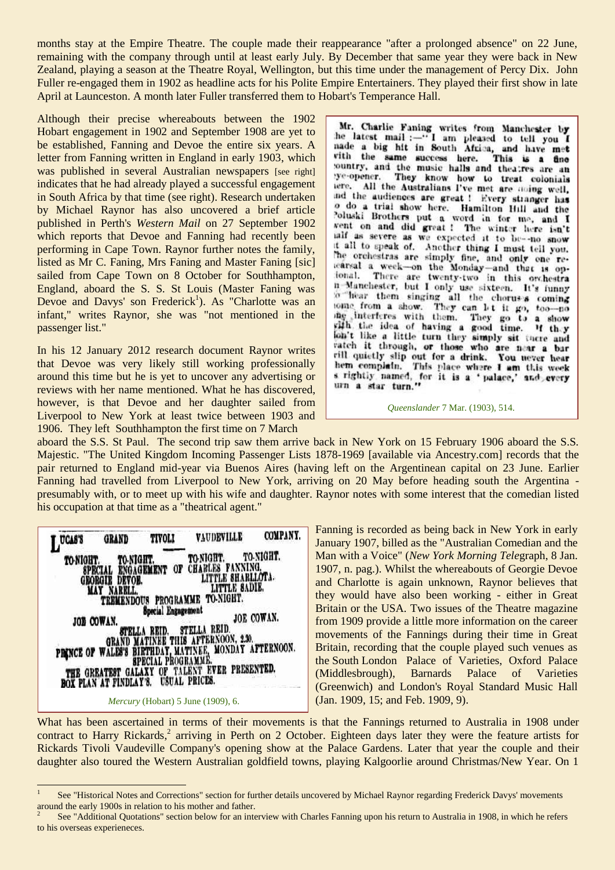months stay at the Empire Theatre. The couple made their reappearance "after a prolonged absence" on 22 June, remaining with the company through until at least early July. By December that same year they were back in New Zealand, playing a season at the Theatre Royal, Wellington, but this time under the management of Percy Dix. John Fuller re-engaged them in 1902 as headline acts for his Polite Empire Entertainers. They played their first show in late April at Launceston. A month later Fuller transferred them to Hobart's Temperance Hall.

Although their precise whereabouts between the 1902 Hobart engagement in 1902 and September 1908 are yet to be established, Fanning and Devoe the entire six years. A letter from Fanning written in England in early 1903, which was published in several Australian newspapers [see right] indicates that he had already played a successful engagement in South Africa by that time (see right). Research undertaken by Michael Raynor has also uncovered a brief article published in Perth's *Western Mail* on 27 September 1902 which reports that Devoe and Fanning had recently been performing in Cape Town. Raynor further notes the family, listed as Mr C. Faning, Mrs Faning and Master Faning [sic] sailed from Cape Town on 8 October for Southhampton, England, aboard the S. S. St Louis (Master Faning was Devoe and Davys' son Frederick<sup>1</sup>). As "Charlotte was an infant," writes Raynor, she was "not mentioned in the passenger list."

In his 12 January 2012 research document Raynor writes that Devoe was very likely still working professionally around this time but he is yet to uncover any advertising or reviews with her name mentioned. What he has discovered, however, is that Devoe and her daughter sailed from Liverpool to New York at least twice between 1903 and 1906. They left Southhampton the first time on 7 March

Mr. Charlie Faning writes from Manchester by<br>the latest mail:-"I am pleased to tell you I nade a big hit in South Africa, and have met with the same success here. This is a fine ye-opener. They know how to treat colonials tere. All the Australians I've met are noing well, ind the audiences are great ! Every stranger has o do a trial show here. Hamilton Hill and the Poluski Brothers put a word in for me, and I went on and did great ! The winter here isn't taif as severe as we expected it to be--no snow it all to speak of. Another thing I must tell you. The orchestras are simply fine, and only one relearsal a week-on the Monday-and that is opn Manchester, but I only use sixteen. It's funny o hear them singing all the chorus's coming tome from a show. They can let it go, too-no ing interferes with them. the interferes with them. They go to a show<br>with the idea of having a good time. If they If they on't like a little turn they simply sit there and vatch it through, or those who are near a bar vill quietly slip out for a drink. You never hear hem complain. This place where I am this week<br>s rightly named, for it is a 'palace,' and every urn a star turn."

*Queenslander* 7 Mar. (1903), 514.

aboard the S.S. St Paul. The second trip saw them arrive back in New York on 15 February 1906 aboard the S.S. Majestic. "The United Kingdom Incoming Passenger Lists 1878-1969 [available via Ancestry.com] records that the pair returned to England mid-year via Buenos Aires (having left on the Argentinean capital on 23 June. Earlier Fanning had travelled from Liverpool to New York, arriving on 20 May before heading south the Argentina presumably with, or to meet up with his wife and daughter. Raynor notes with some interest that the comedian listed his occupation at that time as a "theatrical agent."



1

Fanning is recorded as being back in New York in early January 1907, billed as the "Australian Comedian and the Man with a Voice" (*New York Morning Tele*graph, 8 Jan. 1907, n. pag.). Whilst the whereabouts of Georgie Devoe and Charlotte is again unknown, Raynor believes that they would have also been working - either in Great Britain or the USA. Two issues of the Theatre magazine from 1909 provide a little more information on the career movements of the Fannings during their time in Great Britain, recording that the couple played such venues as the South London Palace of Varieties, Oxford Palace (Middlesbrough), Barnards Palace of Varieties (Greenwich) and London's Royal Standard Music Hall (Jan. 1909, 15; and Feb. 1909, 9).

What has been ascertained in terms of their movements is that the Fannings returned to Australia in 1908 under contract to Harry Rickards,<sup>2</sup> arriving in Perth on 2 October. Eighteen days later they were the feature artists for Rickards Tivoli Vaudeville Company's opening show at the Palace Gardens. Later that year the couple and their daughter also toured the Western Australian goldfield towns, playing Kalgoorlie around Christmas/New Year. On 1

<sup>1</sup> See "Historical Notes and Corrections" section for further details uncovered by Michael Raynor regarding Frederick Davys' movements around the early 1900s in relation to his mother and father.

<sup>2</sup> See "Additional Quotations" section below for an interview with Charles Fanning upon his return to Australia in 1908, in which he refers to his overseas experieneces.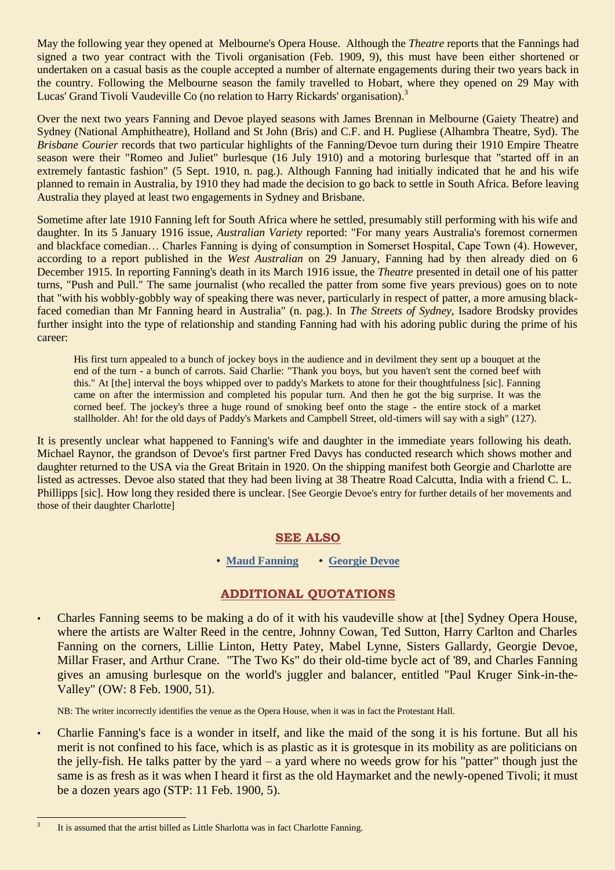May the following year they opened at Melbourne's Opera House. Although the *Theatre* reports that the Fannings had signed a two year contract with the Tivoli organisation (Feb. 1909, 9), this must have been either shortened or undertaken on a casual basis as the couple accepted a number of alternate engagements during their two years back in the country. Following the Melbourne season the family travelled to Hobart, where they opened on 29 May with Lucas' Grand Tivoli Vaudeville Co (no relation to Harry Rickards' organisation).<sup>3</sup>

Over the next two years Fanning and Devoe played seasons with James Brennan in Melbourne (Gaiety Theatre) and Sydney (National Amphitheatre), Holland and St John (Bris) and C.F. and H. Pugliese (Alhambra Theatre, Syd). The *Brisbane Courier* records that two particular highlights of the Fanning/Devoe turn during their 1910 Empire Theatre season were their "Romeo and Juliet" burlesque (16 July 1910) and a motoring burlesque that "started off in an extremely fantastic fashion" (5 Sept. 1910, n. pag.). Although Fanning had initially indicated that he and his wife planned to remain in Australia, by 1910 they had made the decision to go back to settle in South Africa. Before leaving Australia they played at least two engagements in Sydney and Brisbane.

Sometime after late 1910 Fanning left for South Africa where he settled, presumably still performing with his wife and daughter. In its 5 January 1916 issue, *Australian Variety* reported: "For many years Australia's foremost cornermen and blackface comedian… Charles Fanning is dying of consumption in Somerset Hospital, Cape Town (4). However, according to a report published in the *West Australian* on 29 January, Fanning had by then already died on 6 December 1915. In reporting Fanning's death in its March 1916 issue, the *Theatre* presented in detail one of his patter turns, "Push and Pull." The same journalist (who recalled the patter from some five years previous) goes on to note that "with his wobbly-gobbly way of speaking there was never, particularly in respect of patter, a more amusing blackfaced comedian than Mr Fanning heard in Australia" (n. pag.). In *The Streets of Sydney*, Isadore Brodsky provides further insight into the type of relationship and standing Fanning had with his adoring public during the prime of his career:

His first turn appealed to a bunch of jockey boys in the audience and in devilment they sent up a bouquet at the end of the turn - a bunch of carrots. Said Charlie: "Thank you boys, but you haven't sent the corned beef with this." At [the] interval the boys whipped over to paddy's Markets to atone for their thoughtfulness [sic]. Fanning came on after the intermission and completed his popular turn. And then he got the big surprise. It was the corned beef. The jockey's three a huge round of smoking beef onto the stage - the entire stock of a market stallholder. Ah! for the old days of Paddy's Markets and Campbell Street, old-timers will say with a sigh" (127).

It is presently unclear what happened to Fanning's wife and daughter in the immediate years following his death. Michael Raynor, the grandson of Devoe's first partner Fred Davys has conducted research which shows mother and daughter returned to the USA via the Great Britain in 1920. On the shipping manifest both Georgie and Charlotte are listed as actresses. Devoe also stated that they had been living at 38 Theatre Road Calcutta, India with a friend C. L. Phillipps [sic]. How long they resided there is unclear. [See Georgie Devoe's entry for further details of her movements and those of their daughter Charlotte]

# **SEE ALSO**

• **[Maud Fanning](http://ozvta.com/practitioners-f/)** • **[Georgie Devoe](http://ozvta.com/practitioners-d/)**

# **ADDITIONAL QUOTATIONS**

• Charles Fanning seems to be making a do of it with his vaudeville show at [the] Sydney Opera House, where the artists are Walter Reed in the centre, Johnny Cowan, Ted Sutton, Harry Carlton and Charles Fanning on the corners, Lillie Linton, Hetty Patey, Mabel Lynne, Sisters Gallardy, Georgie Devoe, Millar Fraser, and Arthur Crane. "The Two Ks" do their old-time bycle act of '89, and Charles Fanning gives an amusing burlesque on the world's juggler and balancer, entitled "Paul Kruger Sink-in-the-Valley" (OW: 8 Feb. 1900, 51).

NB: The writer incorrectly identifies the venue as the Opera House, when it was in fact the Protestant Hall.

• Charlie Fanning's face is a wonder in itself, and like the maid of the song it is his fortune. But all his merit is not confined to his face, which is as plastic as it is grotesque in its mobility as are politicians on the jelly-fish. He talks patter by the yard – a yard where no weeds grow for his "patter" though just the same is as fresh as it was when I heard it first as the old Haymarket and the newly-opened Tivoli; it must be a dozen years ago (STP: 11 Feb. 1900, 5).

<sup>1</sup> 3 It is assumed that the artist billed as Little Sharlotta was in fact Charlotte Fanning.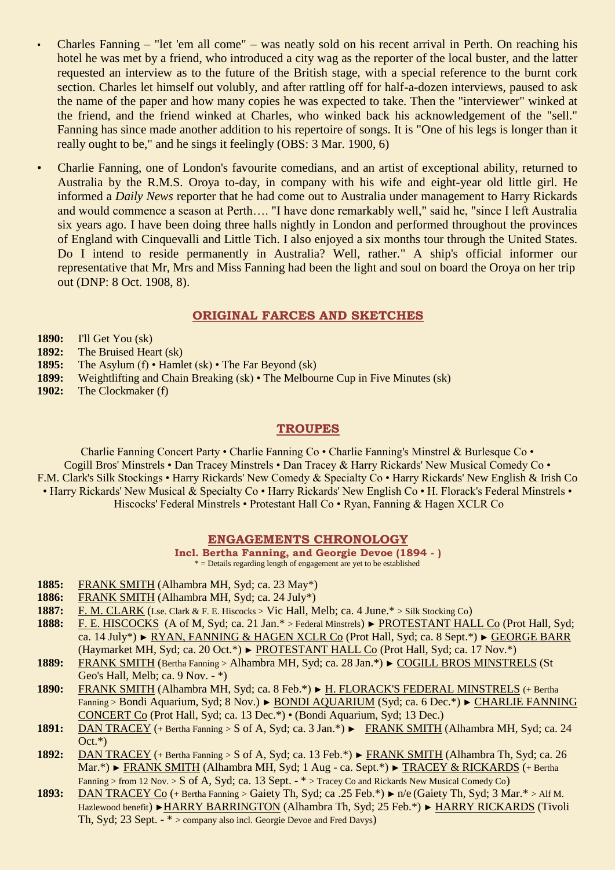- Charles Fanning "let 'em all come" was neatly sold on his recent arrival in Perth. On reaching his hotel he was met by a friend, who introduced a city wag as the reporter of the local buster, and the latter requested an interview as to the future of the British stage, with a special reference to the burnt cork section. Charles let himself out volubly, and after rattling off for half-a-dozen interviews, paused to ask the name of the paper and how many copies he was expected to take. Then the "interviewer" winked at the friend, and the friend winked at Charles, who winked back his acknowledgement of the "sell." Fanning has since made another addition to his repertoire of songs. It is "One of his legs is longer than it really ought to be," and he sings it feelingly (OBS: 3 Mar. 1900, 6)
- Charlie Fanning, one of London's favourite comedians, and an artist of exceptional ability, returned to Australia by the R.M.S. Oroya to-day, in company with his wife and eight-year old little girl. He informed a *Daily News* reporter that he had come out to Australia under management to Harry Rickards and would commence a season at Perth…. "I have done remarkably well," said he, "since I left Australia six years ago. I have been doing three halls nightly in London and performed throughout the provinces of England with Cinquevalli and Little Tich. I also enjoyed a six months tour through the United States. Do I intend to reside permanently in Australia? Well, rather." A ship's official informer our representative that Mr, Mrs and Miss Fanning had been the light and soul on board the Oroya on her trip out (DNP: 8 Oct. 1908, 8).

## **ORIGINAL FARCES AND SKETCHES**

- **1890:** I'll Get You (sk)
- **1892:** The Bruised Heart (sk)
- **1895:** The Asylum (f) Hamlet (sk) The Far Beyond (sk)
- **1899:** Weightlifting and Chain Breaking (sk) The Melbourne Cup in Five Minutes (sk)
- **1902:** The Clockmaker (f)

## **TROUPES**

Charlie Fanning Concert Party • Charlie Fanning Co • Charlie Fanning's Minstrel & Burlesque Co • Cogill Bros' Minstrels • Dan Tracey Minstrels • Dan Tracey & Harry Rickards' New Musical Comedy Co • F.M. Clark's Silk Stockings • Harry Rickards' New Comedy & Specialty Co • Harry Rickards' New English & Irish Co • Harry Rickards' New Musical & Specialty Co • Harry Rickards' New English Co • H. Florack's Federal Minstrels • Hiscocks' Federal Minstrels • Protestant Hall Co • Ryan, Fanning & Hagen XCLR Co

### **ENGAGEMENTS CHRONOLOGY**

**Incl. Bertha Fanning, and Georgie Devoe (1894 - )** \* = Details regarding length of engagement are yet to be established

- **1885:** FRANK SMITH (Alhambra MH, Syd; ca. 23 May\*)
- **1886:** FRANK SMITH (Alhambra MH, Syd; ca. 24 July\*)
- 1887: F. M. CLARK (Lse. Clark & F. E. Hiscocks > Vic Hall, Melb; ca. 4 June.\* > Silk Stocking Co)
- **1888:** F. E. HISCOCKS (A of M, Syd; ca. 21 Jan.\* > Federal Minstrels) ► PROTESTANT HALL Co (Prot Hall, Syd; ca. 14 July\*) ► RYAN, FANNING & HAGEN XCLR Co (Prot Hall, Syd; ca. 8 Sept.\*) ► GEORGE BARR (Haymarket MH, Syd; ca. 20 Oct.\*) ► PROTESTANT HALL Co (Prot Hall, Syd; ca. 17 Nov.\*)
- **1889:** FRANK SMITH (Bertha Fanning > Alhambra MH, Syd; ca. 28 Jan.\*) ► COGILL BROS MINSTRELS (St Geo's Hall, Melb; ca. 9 Nov. - \*)
- **1890:** FRANK SMITH (Alhambra MH, Syd; ca. 8 Feb.\*) ► H. FLORACK'S FEDERAL MINSTRELS (+ Bertha Fanning > Bondi Aquarium, Syd; 8 Nov.) ► BONDI AQUARIUM (Syd; ca. 6 Dec.\*) ► CHARLIE FANNING CONCERT Co (Prot Hall, Syd; ca. 13 Dec.\*) • (Bondi Aquarium, Syd; 13 Dec.)
- **1891:** DAN TRACEY (+ Bertha Fanning > S of A, Syd; ca. 3 Jan.\*) ► FRANK SMITH (Alhambra MH, Syd; ca. 24  $Oct.*)$
- **1892:** DAN TRACEY (+ Bertha Fanning > S of A, Syd; ca. 13 Feb.\*) ► FRANK SMITH (Alhambra Th, Syd; ca. 26 Mar.\*) ► FRANK SMITH (Alhambra MH, Syd; 1 Aug - ca. Sept.\*) ► TRACEY & RICKARDS (+ Bertha Fanning > from 12 Nov. > S of A, Syd; ca. 13 Sept. - \* > Tracey Co and Rickards New Musical Comedy Co)
- **1893:** DAN TRACEY Co (+ Bertha Fanning > Gaiety Th, Syd; ca .25 Feb.\*) ► n/e (Gaiety Th, Syd; 3 Mar.\* > Alf M. Hazlewood benefit) ►HARRY BARRINGTON (Alhambra Th, Syd; 25 Feb.\*) ► HARRY RICKARDS (Tivoli Th, Syd; 23 Sept. - \* > company also incl. Georgie Devoe and Fred Davys)